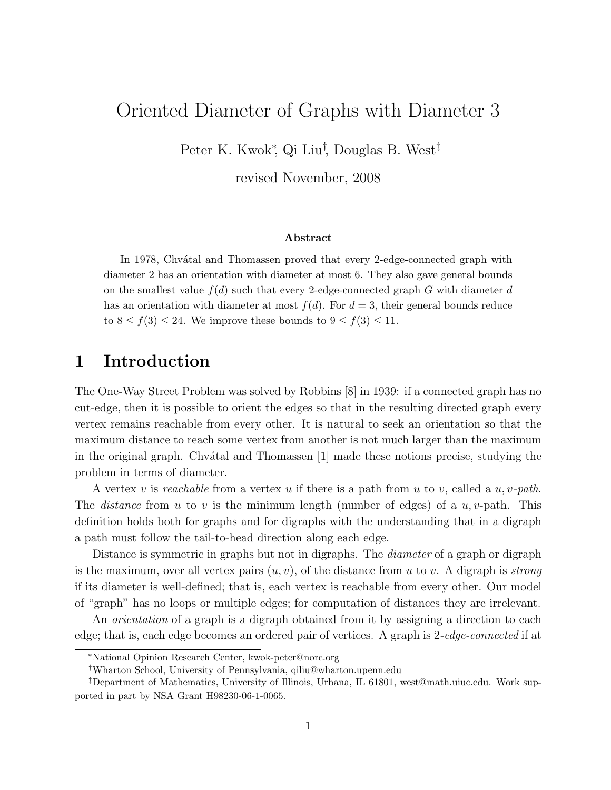# Oriented Diameter of Graphs with Diameter 3

Peter K. Kwok<sup>∗</sup> , Qi Liu† , Douglas B. West‡

revised November, 2008

#### Abstract

In 1978, Chvatal and Thomassen proved that every 2-edge-connected graph with diameter 2 has an orientation with diameter at most 6. They also gave general bounds on the smallest value  $f(d)$  such that every 2-edge-connected graph G with diameter d has an orientation with diameter at most  $f(d)$ . For  $d = 3$ , their general bounds reduce to  $8 \le f(3) \le 24$ . We improve these bounds to  $9 \le f(3) \le 11$ .

## 1 Introduction

The One-Way Street Problem was solved by Robbins [8] in 1939: if a connected graph has no cut-edge, then it is possible to orient the edges so that in the resulting directed graph every vertex remains reachable from every other. It is natural to seek an orientation so that the maximum distance to reach some vertex from another is not much larger than the maximum in the original graph. Chv $\alpha$ tal and Thomassen [1] made these notions precise, studying the problem in terms of diameter.

A vertex v is reachable from a vertex u if there is a path from u to v, called a u, v-path. The *distance* from u to v is the minimum length (number of edges) of a  $u, v$ -path. This definition holds both for graphs and for digraphs with the understanding that in a digraph a path must follow the tail-to-head direction along each edge.

Distance is symmetric in graphs but not in digraphs. The *diameter* of a graph or digraph is the maximum, over all vertex pairs  $(u, v)$ , of the distance from u to v. A digraph is *strong* if its diameter is well-defined; that is, each vertex is reachable from every other. Our model of "graph" has no loops or multiple edges; for computation of distances they are irrelevant.

An *orientation* of a graph is a digraph obtained from it by assigning a direction to each edge; that is, each edge becomes an ordered pair of vertices. A graph is 2-edge-connected if at

<sup>∗</sup>National Opinion Research Center, kwok-peter@norc.org

<sup>†</sup>Wharton School, University of Pennsylvania, qiliu@wharton.upenn.edu

<sup>‡</sup>Department of Mathematics, University of Illinois, Urbana, IL 61801, west@math.uiuc.edu. Work supported in part by NSA Grant H98230-06-1-0065.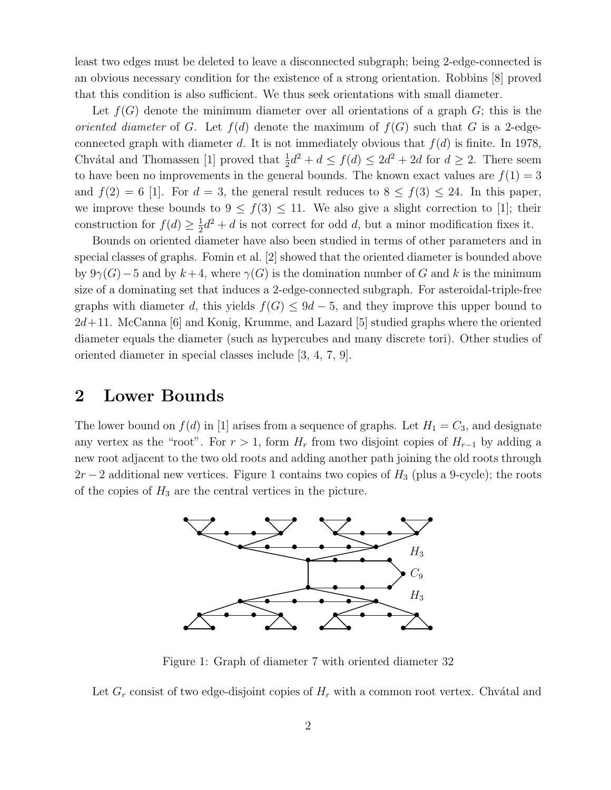least two edges must be deleted to leave a disconnected subgraph; being 2-edge-connected is an obvious necessary condition for the existence of a strong orientation. Robbins [8] proved that this condition is also sufficient. We thus seek orientations with small diameter.

Let  $f(G)$  denote the minimum diameter over all orientations of a graph  $G$ ; this is the oriented diameter of G. Let  $f(d)$  denote the maximum of  $f(G)$  such that G is a 2-edgeconnected graph with diameter d. It is not immediately obvious that  $f(d)$  is finite. In 1978, Chvátal and Thomassen [1] proved that  $\frac{1}{2}d^2 + d \le f(d) \le 2d^2 + 2d$  for  $d \ge 2$ . There seem to have been no improvements in the general bounds. The known exact values are  $f(1) = 3$ and  $f(2) = 6$  [1]. For  $d = 3$ , the general result reduces to  $8 \le f(3) \le 24$ . In this paper, we improve these bounds to  $9 \le f(3) \le 11$ . We also give a slight correction to [1]; their construction for  $f(d) \geq \frac{1}{2}$  $\frac{1}{2}d^2 + d$  is not correct for odd d, but a minor modification fixes it.

Bounds on oriented diameter have also been studied in terms of other parameters and in special classes of graphs. Fomin et al. [2] showed that the oriented diameter is bounded above by  $9\gamma(G)-5$  and by  $k+4$ , where  $\gamma(G)$  is the domination number of G and k is the minimum size of a dominating set that induces a 2-edge-connected subgraph. For asteroidal-triple-free graphs with diameter d, this yields  $f(G) \leq 9d - 5$ , and they improve this upper bound to  $2d+11$ . McCanna [6] and Konig, Krumme, and Lazard [5] studied graphs where the oriented diameter equals the diameter (such as hypercubes and many discrete tori). Other studies of oriented diameter in special classes include [3, 4, 7, 9].

### 2 Lower Bounds

The lower bound on  $f(d)$  in [1] arises from a sequence of graphs. Let  $H_1 = C_3$ , and designate any vertex as the "root". For  $r > 1$ , form  $H_r$  from two disjoint copies of  $H_{r-1}$  by adding a new root adjacent to the two old roots and adding another path joining the old roots through  $2r-2$  additional new vertices. Figure 1 contains two copies of  $H_3$  (plus a 9-cycle); the roots of the copies of  $H_3$  are the central vertices in the picture.



Figure 1: Graph of diameter 7 with oriented diameter 32

Let  $G_r$  consist of two edge-disjoint copies of  $H_r$  with a common root vertex. Chvátal and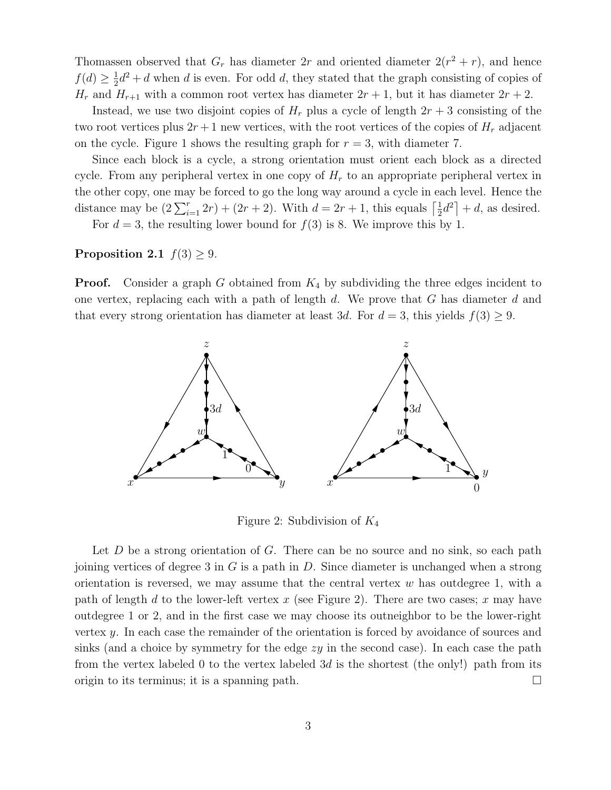Thomassen observed that  $G_r$  has diameter  $2r$  and oriented diameter  $2(r^2 + r)$ , and hence  $f(d) \geq \frac{1}{2}$  $\frac{1}{2}d^2 + d$  when d is even. For odd d, they stated that the graph consisting of copies of  $H_r$  and  $H_{r+1}$  with a common root vertex has diameter  $2r + 1$ , but it has diameter  $2r + 2$ .

Instead, we use two disjoint copies of  $H_r$  plus a cycle of length  $2r + 3$  consisting of the two root vertices plus  $2r + 1$  new vertices, with the root vertices of the copies of  $H_r$  adjacent on the cycle. Figure 1 shows the resulting graph for  $r = 3$ , with diameter 7.

Since each block is a cycle, a strong orientation must orient each block as a directed cycle. From any peripheral vertex in one copy of  $H_r$  to an appropriate peripheral vertex in the other copy, one may be forced to go the long way around a cycle in each level. Hence the distance may be  $(2\sum_{i=1}^{r}2r) + (2r+2)$ . With  $d = 2r+1$ , this equals  $\lceil \frac{1}{2} \rceil$  $\frac{1}{2}d^2$  + d, as desired.

For  $d = 3$ , the resulting lower bound for  $f(3)$  is 8. We improve this by 1.

#### Proposition 2.1  $f(3) \geq 9$ .

**Proof.** Consider a graph G obtained from  $K_4$  by subdividing the three edges incident to one vertex, replacing each with a path of length  $d$ . We prove that G has diameter  $d$  and that every strong orientation has diameter at least 3d. For  $d = 3$ , this yields  $f(3) \geq 9$ .



Figure 2: Subdivision of  $K_4$ 

Let  $D$  be a strong orientation of  $G$ . There can be no source and no sink, so each path joining vertices of degree 3 in  $G$  is a path in  $D$ . Since diameter is unchanged when a strong orientation is reversed, we may assume that the central vertex  $w$  has outdegree 1, with a path of length d to the lower-left vertex x (see Figure 2). There are two cases; x may have outdegree 1 or 2, and in the first case we may choose its outneighbor to be the lower-right vertex y. In each case the remainder of the orientation is forced by avoidance of sources and sinks (and a choice by symmetry for the edge  $zy$  in the second case). In each case the path from the vertex labeled 0 to the vertex labeled 3d is the shortest (the only!) path from its origin to its terminus; it is a spanning path.  $\square$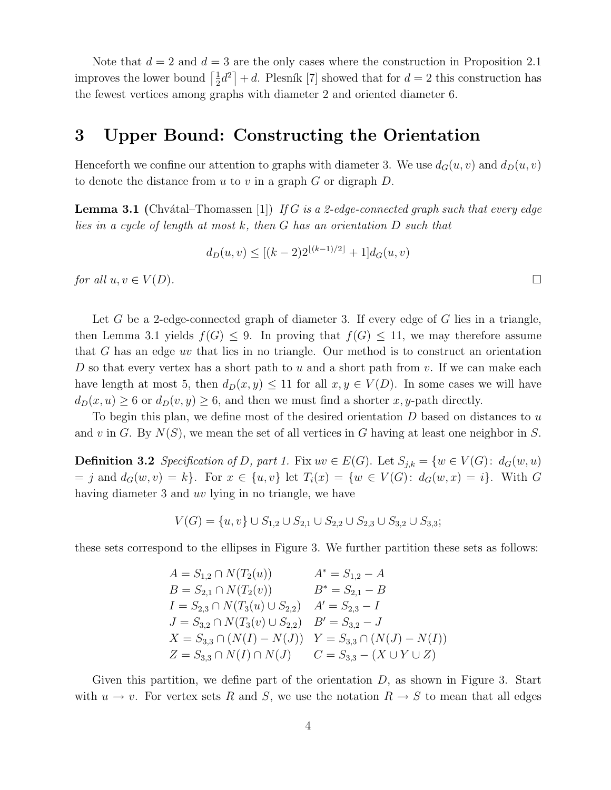Note that  $d = 2$  and  $d = 3$  are the only cases where the construction in Proposition 2.1 improves the lower bound  $\left[\frac{1}{2}\right]$  $\frac{1}{2}d^2$  + d. Plesník [7] showed that for  $d=2$  this construction has the fewest vertices among graphs with diameter 2 and oriented diameter 6.

### 3 Upper Bound: Constructing the Orientation

Henceforth we confine our attention to graphs with diameter 3. We use  $d_G(u, v)$  and  $d_D(u, v)$ to denote the distance from  $u$  to  $v$  in a graph  $G$  or digraph  $D$ .

**Lemma 3.1** (Chvátal–Thomassen [1]) If G is a 2-edge-connected graph such that every edge lies in a cycle of length at most k, then G has an orientation D such that

$$
d_D(u, v) \le [(k-2)2^{\lfloor (k-1)/2 \rfloor} + 1] d_G(u, v)
$$
  
for all  $u, v \in V(D)$ .

Let G be a 2-edge-connected graph of diameter 3. If every edge of G lies in a triangle, then Lemma 3.1 yields  $f(G) \leq 9$ . In proving that  $f(G) \leq 11$ , we may therefore assume that G has an edge uv that lies in no triangle. Our method is to construct an orientation D so that every vertex has a short path to u and a short path from v. If we can make each have length at most 5, then  $d_D(x, y) \le 11$  for all  $x, y \in V(D)$ . In some cases we will have  $d_D(x, u) \geq 6$  or  $d_D(v, y) \geq 6$ , and then we must find a shorter x, y-path directly.

To begin this plan, we define most of the desired orientation  $D$  based on distances to  $u$ and v in G. By  $N(S)$ , we mean the set of all vertices in G having at least one neighbor in S.

**Definition 3.2** Specification of D, part 1. Fix  $uv \in E(G)$ . Let  $S_{j,k} = \{w \in V(G): d_G(w,u)\}$  $= j$  and  $d_G(w, v) = k$ . For  $x \in \{u, v\}$  let  $T_i(x) = \{w \in V(G): d_G(w, x) = i\}$ . With G having diameter 3 and uv lying in no triangle, we have

$$
V(G) = \{u, v\} \cup S_{1,2} \cup S_{2,1} \cup S_{2,2} \cup S_{2,3} \cup S_{3,2} \cup S_{3,3};
$$

these sets correspond to the ellipses in Figure 3. We further partition these sets as follows:

$$
A = S_{1,2} \cap N(T_2(u)) \qquad A^* = S_{1,2} - A
$$
  
\n
$$
B = S_{2,1} \cap N(T_2(v)) \qquad B^* = S_{2,1} - B
$$
  
\n
$$
I = S_{2,3} \cap N(T_3(u) \cup S_{2,2}) \qquad A' = S_{2,3} - I
$$
  
\n
$$
J = S_{3,2} \cap N(T_3(v) \cup S_{2,2}) \qquad B' = S_{3,2} - J
$$
  
\n
$$
X = S_{3,3} \cap (N(I) - N(J)) \qquad Y = S_{3,3} \cap (N(J) - N(I))
$$
  
\n
$$
Z = S_{3,3} \cap N(I) \cap N(J) \qquad C = S_{3,3} - (X \cup Y \cup Z)
$$

Given this partition, we define part of the orientation  $D$ , as shown in Figure 3. Start with  $u \to v$ . For vertex sets R and S, we use the notation  $R \to S$  to mean that all edges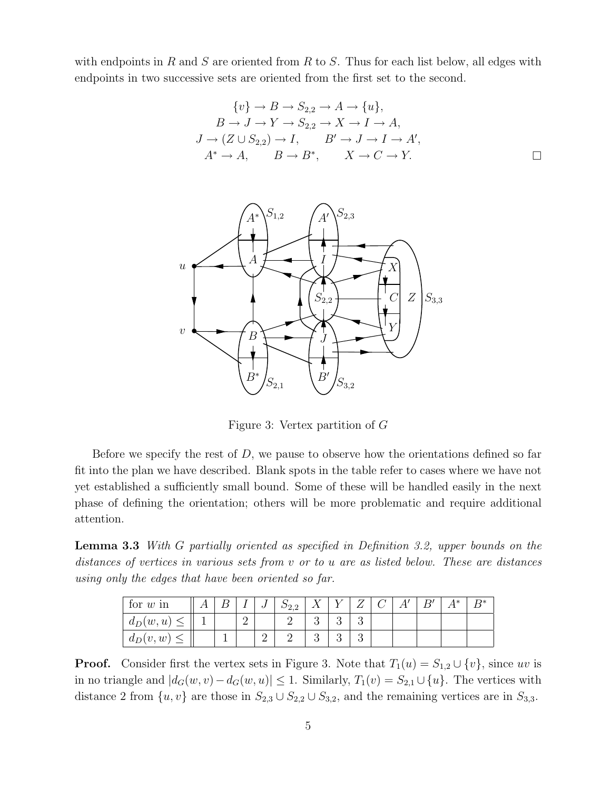with endpoints in R and S are oriented from R to S. Thus for each list below, all edges with endpoints in two successive sets are oriented from the first set to the second.

$$
\{v\} \to B \to S_{2,2} \to A \to \{u\},
$$
  
\n
$$
B \to J \to Y \to S_{2,2} \to X \to I \to A,
$$
  
\n
$$
J \to (Z \cup S_{2,2}) \to I, \qquad B' \to J \to I \to A',
$$
  
\n
$$
A^* \to A, \qquad B \to B^*, \qquad X \to C \to Y.
$$



Figure 3: Vertex partition of G

Before we specify the rest of  $D$ , we pause to observe how the orientations defined so far fit into the plan we have described. Blank spots in the table refer to cases where we have not yet established a sufficiently small bound. Some of these will be handled easily in the next phase of defining the orientation; others will be more problematic and require additional attention.

Lemma 3.3 With G partially oriented as specified in Definition 3.2, upper bounds on the distances of vertices in various sets from v or to u are as listed below. These are distances using only the edges that have been oriented so far.

| for $w \nvert$ in       |  |   | ◡       | $D_{2,2}$ |          | – |  | R' | $\Lambda^*$ | $D*$ |
|-------------------------|--|---|---------|-----------|----------|---|--|----|-------------|------|
| $d_D(w, u)$             |  | ∸ |         |           | $\Omega$ | ບ |  |    |             |      |
| $d_D(v, w)$<br>$\equiv$ |  |   | 61<br>↵ |           |          | ບ |  |    |             |      |

**Proof.** Consider first the vertex sets in Figure 3. Note that  $T_1(u) = S_{1,2} \cup \{v\}$ , since uv is in no triangle and  $|d_G(w, v) - d_G(w, u)| \leq 1$ . Similarly,  $T_1(v) = S_{2,1} \cup \{u\}$ . The vertices with distance 2 from  $\{u, v\}$  are those in  $S_{2,3} \cup S_{2,2} \cup S_{3,2}$ , and the remaining vertices are in  $S_{3,3}$ .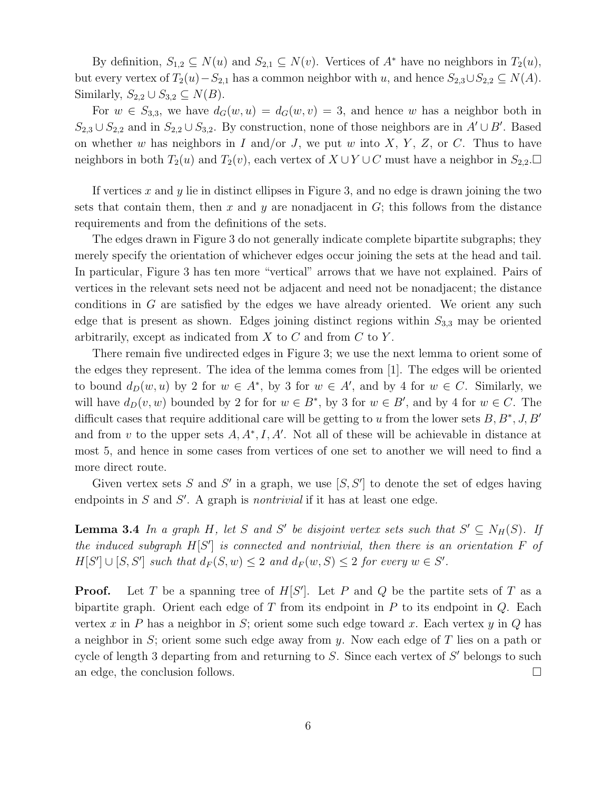By definition,  $S_{1,2} \subseteq N(u)$  and  $S_{2,1} \subseteq N(v)$ . Vertices of  $A^*$  have no neighbors in  $T_2(u)$ , but every vertex of  $T_2(u) - S_{2,1}$  has a common neighbor with u, and hence  $S_{2,3} \cup S_{2,2} \subseteq N(A)$ . Similarly,  $S_{2,2} \cup S_{3,2} \subseteq N(B)$ .

For  $w \in S_{3,3}$ , we have  $d_G(w, u) = d_G(w, v) = 3$ , and hence w has a neighbor both in  $S_{2,3} \cup S_{2,2}$  and in  $S_{2,2} \cup S_{3,2}$ . By construction, none of those neighbors are in  $A' \cup B'$ . Based on whether w has neighbors in I and/or J, we put w into X, Y, Z, or C. Thus to have neighbors in both  $T_2(u)$  and  $T_2(v)$ , each vertex of  $X \cup Y \cup C$  must have a neighbor in  $S_{2,2}$ .

If vertices  $x$  and  $y$  lie in distinct ellipses in Figure 3, and no edge is drawn joining the two sets that contain them, then x and y are nonadjacent in  $G$ ; this follows from the distance requirements and from the definitions of the sets.

The edges drawn in Figure 3 do not generally indicate complete bipartite subgraphs; they merely specify the orientation of whichever edges occur joining the sets at the head and tail. In particular, Figure 3 has ten more "vertical" arrows that we have not explained. Pairs of vertices in the relevant sets need not be adjacent and need not be nonadjacent; the distance conditions in  $G$  are satisfied by the edges we have already oriented. We orient any such edge that is present as shown. Edges joining distinct regions within  $S_{3,3}$  may be oriented arbitrarily, except as indicated from  $X$  to  $C$  and from  $C$  to  $Y$ .

There remain five undirected edges in Figure 3; we use the next lemma to orient some of the edges they represent. The idea of the lemma comes from [1]. The edges will be oriented to bound  $d_D(w, u)$  by 2 for  $w \in A^*$ , by 3 for  $w \in A'$ , and by 4 for  $w \in C$ . Similarly, we will have  $d_D(v, w)$  bounded by 2 for for  $w \in B^*$ , by 3 for  $w \in B'$ , and by 4 for  $w \in C$ . The difficult cases that require additional care will be getting to u from the lower sets  $B, B^*, J, B'$ and from v to the upper sets  $A, A^*, I, A'$ . Not all of these will be achievable in distance at most 5, and hence in some cases from vertices of one set to another we will need to find a more direct route.

Given vertex sets S and S' in a graph, we use  $[S, S']$  to denote the set of edges having endpoints in  $S$  and  $S'$ . A graph is *nontrivial* if it has at least one edge.

**Lemma 3.4** In a graph H, let S and S' be disjoint vertex sets such that  $S' \subseteq N_H(S)$ . If the induced subgraph  $H[S']$  is connected and nontrivial, then there is an orientation  $F$  of  $H[S'] \cup [S, S']$  such that  $d_F(S, w) \leq 2$  and  $d_F(w, S) \leq 2$  for every  $w \in S'$ .

**Proof.** Let T be a spanning tree of  $H[S']$ . Let P and Q be the partite sets of T as a bipartite graph. Orient each edge of T from its endpoint in P to its endpoint in  $Q$ . Each vertex x in P has a neighbor in S; orient some such edge toward x. Each vertex y in Q has a neighbor in S; orient some such edge away from y. Now each edge of T lies on a path or cycle of length 3 departing from and returning to  $S$ . Since each vertex of  $S'$  belongs to such an edge, the conclusion follows.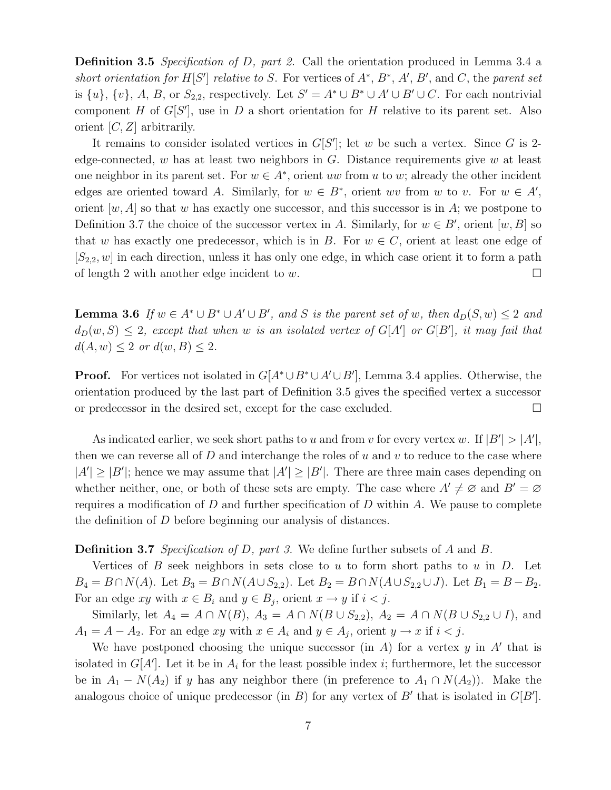Definition 3.5 Specification of D, part 2. Call the orientation produced in Lemma 3.4 a short orientation for  $H[S']$  relative to S. For vertices of  $A^*, B^*, A', B'$ , and C, the parent set is  $\{u\}$ ,  $\{v\}$ , A, B, or  $S_{2,2}$ , respectively. Let  $S' = A^* \cup B^* \cup A' \cup B' \cup C$ . For each nontrivial component H of  $G[S']$ , use in D a short orientation for H relative to its parent set. Also orient  $[C, Z]$  arbitrarily.

It remains to consider isolated vertices in  $G[S']$ ; let w be such a vertex. Since G is 2edge-connected, w has at least two neighbors in  $G$ . Distance requirements give w at least one neighbor in its parent set. For  $w \in A^*$ , orient uw from u to w; already the other incident edges are oriented toward A. Similarly, for  $w \in B^*$ , orient wv from w to v. For  $w \in A'$ , orient  $[w, A]$  so that w has exactly one successor, and this successor is in A; we postpone to Definition 3.7 the choice of the successor vertex in A. Similarly, for  $w \in B'$ , orient  $[w, B]$  so that w has exactly one predecessor, which is in B. For  $w \in C$ , orient at least one edge of  $[S_{2,2}, w]$  in each direction, unless it has only one edge, in which case orient it to form a path of length 2 with another edge incident to w.

**Lemma 3.6** If  $w \in A^* \cup B^* \cup A' \cup B'$ , and S is the parent set of w, then  $d_D(S, w) \leq 2$  and  $d_D(w, S) \leq 2$ , except that when w is an isolated vertex of  $G[A']$  or  $G[B']$ , it may fail that  $d(A, w) \leq 2$  or  $d(w, B) \leq 2$ .

**Proof.** For vertices not isolated in  $G[A^* \cup B^* \cup A' \cup B']$ , Lemma 3.4 applies. Otherwise, the orientation produced by the last part of Definition 3.5 gives the specified vertex a successor or predecessor in the desired set, except for the case excluded.

As indicated earlier, we seek short paths to u and from v for every vertex w. If  $|B'| > |A'|$ , then we can reverse all of D and interchange the roles of u and v to reduce to the case where  $|A'| \geq |B'|$ ; hence we may assume that  $|A'| \geq |B'|$ . There are three main cases depending on whether neither, one, or both of these sets are empty. The case where  $A' \neq \emptyset$  and  $B' = \emptyset$ requires a modification of  $D$  and further specification of  $D$  within  $A$ . We pause to complete the definition of D before beginning our analysis of distances.

#### Definition 3.7 Specification of D, part 3. We define further subsets of A and B.

Vertices of  $B$  seek neighbors in sets close to  $u$  to form short paths to  $u$  in  $D$ . Let  $B_4 = B \cap N(A)$ . Let  $B_3 = B \cap N(A \cup S_{2,2})$ . Let  $B_2 = B \cap N(A \cup S_{2,2} \cup J)$ . Let  $B_1 = B - B_2$ . For an edge xy with  $x \in B_i$  and  $y \in B_j$ , orient  $x \to y$  if  $i < j$ .

Similarly, let  $A_4 = A \cap N(B)$ ,  $A_3 = A \cap N(B \cup S_{2,2})$ ,  $A_2 = A \cap N(B \cup S_{2,2} \cup I)$ , and  $A_1 = A - A_2$ . For an edge xy with  $x \in A_i$  and  $y \in A_j$ , orient  $y \to x$  if  $i < j$ .

We have postponed choosing the unique successor (in  $A$ ) for a vertex  $y$  in  $A'$  that is isolated in  $G[A']$ . Let it be in  $A_i$  for the least possible index *i*; furthermore, let the successor be in  $A_1 - N(A_2)$  if y has any neighbor there (in preference to  $A_1 \cap N(A_2)$ ). Make the analogous choice of unique predecessor (in  $B$ ) for any vertex of  $B'$  that is isolated in  $G[B']$ .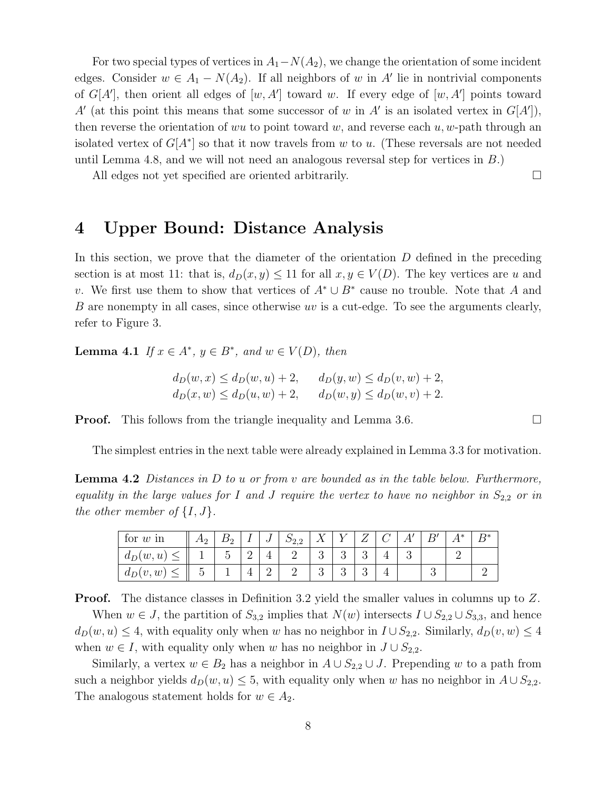For two special types of vertices in  $A_1 - N(A_2)$ , we change the orientation of some incident edges. Consider  $w \in A_1 - N(A_2)$ . If all neighbors of w in A' lie in nontrivial components of  $G[A']$ , then orient all edges of  $[w, A']$  toward w. If every edge of  $[w, A']$  points toward A' (at this point this means that some successor of w in A' is an isolated vertex in  $G[A'],$ then reverse the orientation of wu to point toward w, and reverse each u, w-path through an isolated vertex of  $G[A^*]$  so that it now travels from w to u. (These reversals are not needed until Lemma 4.8, and we will not need an analogous reversal step for vertices in  $B$ .)

All edges not yet specified are oriented arbitrarily.

## 4 Upper Bound: Distance Analysis

In this section, we prove that the diameter of the orientation  $D$  defined in the preceding section is at most 11: that is,  $d_D(x, y) \le 11$  for all  $x, y \in V(D)$ . The key vertices are u and v. We first use them to show that vertices of  $A^* \cup B^*$  cause no trouble. Note that A and B are nonempty in all cases, since otherwise uv is a cut-edge. To see the arguments clearly, refer to Figure 3.

**Lemma 4.1** If  $x \in A^*$ ,  $y \in B^*$ , and  $w \in V(D)$ , then

$$
d_D(w, x) \le d_D(w, u) + 2, \qquad d_D(y, w) \le d_D(v, w) + 2, \n d_D(x, w) \le d_D(u, w) + 2, \qquad d_D(w, y) \le d_D(w, v) + 2.
$$

**Proof.** This follows from the triangle inequality and Lemma 3.6.

The simplest entries in the next table were already explained in Lemma 3.3 for motivation.

**Lemma 4.2** Distances in D to u or from v are bounded as in the table below. Furthermore, equality in the large values for I and J require the vertex to have no neighbor in  $S_{2,2}$  or in the other member of  $\{I, J\}$ .

| for $w \nvert$ in | $\mathcal{A}$<br>- 4 | <u>.</u> | ◡ | $\omega_{2,2}$ | ∡⊾ |               |        |  |   | ı * | D* |
|-------------------|----------------------|----------|---|----------------|----|---------------|--------|--|---|-----|----|
| $d_D(w, u)$       |                      | ↵        |   |                | ◡  | $\Omega$<br>◡ | റ<br>ಀ |  |   |     |    |
| $d_D(v, w)$       | ◡                    |          |   |                | ◡  | $\Omega$<br>◡ | ಀ      |  | ັ |     |    |

**Proof.** The distance classes in Definition 3.2 yield the smaller values in columns up to Z.

When  $w \in J$ , the partition of  $S_{3,2}$  implies that  $N(w)$  intersects  $I \cup S_{2,2} \cup S_{3,3}$ , and hence  $d_D(w, u) \leq 4$ , with equality only when w has no neighbor in  $I \cup S_{2,2}$ . Similarly,  $d_D(v, w) \leq 4$ when  $w \in I$ , with equality only when w has no neighbor in  $J \cup S_{2,2}$ .

Similarly, a vertex  $w \in B_2$  has a neighbor in  $A \cup S_{2,2} \cup J$ . Prepending w to a path from such a neighbor yields  $d_D(w, u) \leq 5$ , with equality only when w has no neighbor in  $A \cup S_{2,2}$ . The analogous statement holds for  $w \in A_2$ .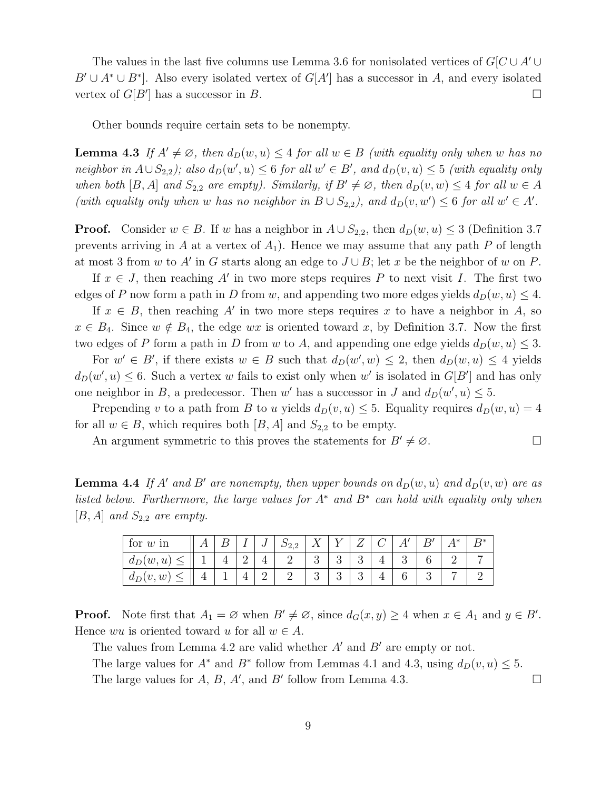The values in the last five columns use Lemma 3.6 for nonisolated vertices of  $G/C\cup A' \cup$  $B' \cup A^* \cup B^*$ . Also every isolated vertex of  $G[A']$  has a successor in A, and every isolated vertex of  $G[B']$  has a successor in B.

Other bounds require certain sets to be nonempty.

**Lemma 4.3** If  $A' \neq \emptyset$ , then  $d_D(w, u) \leq 4$  for all  $w \in B$  (with equality only when w has no neighbor in  $A\cup S_{2,2}$ ); also  $d_D(w',u) \leq 6$  for all  $w' \in B'$ , and  $d_D(v,u) \leq 5$  (with equality only when both [B, A] and  $S_{2,2}$  are empty). Similarly, if  $B' \neq \emptyset$ , then  $d_D(v, w) \leq 4$  for all  $w \in A$ (with equality only when w has no neighbor in  $B \cup S_{2,2}$ ), and  $d_D(v, w') \leq 6$  for all  $w' \in A'$ .

**Proof.** Consider  $w \in B$ . If w has a neighbor in  $A \cup S_{2,2}$ , then  $d_D(w, u) \leq 3$  (Definition 3.7) prevents arriving in A at a vertex of  $A_1$ ). Hence we may assume that any path P of length at most 3 from w to A' in G starts along an edge to  $J \cup B$ ; let x be the neighbor of w on P.

If  $x \in J$ , then reaching A' in two more steps requires P to next visit I. The first two edges of P now form a path in D from w, and appending two more edges yields  $d_D(w, u) \leq 4$ .

If  $x \in B$ , then reaching A' in two more steps requires x to have a neighbor in A, so  $x \in B_4$ . Since  $w \notin B_4$ , the edge  $wx$  is oriented toward x, by Definition 3.7. Now the first two edges of P form a path in D from w to A, and appending one edge yields  $d_D(w, u) \leq 3$ .

For  $w' \in B'$ , if there exists  $w \in B$  such that  $d_D(w', w) \leq 2$ , then  $d_D(w, u) \leq 4$  yields  $d_D(w', u) \leq 6$ . Such a vertex w fails to exist only when w' is isolated in  $G[B']$  and has only one neighbor in B, a predecessor. Then w' has a successor in J and  $d_D(w', u) \leq 5$ .

Prepending v to a path from B to u yields  $d_D(v, u) \leq 5$ . Equality requires  $d_D(w, u) = 4$ for all  $w \in B$ , which requires both  $[B, A]$  and  $S_{2,2}$  to be empty.

An argument symmetric to this proves the statements for  $B' \neq \emptyset$ .

**Lemma 4.4** If A' and B' are nonempty, then upper bounds on  $d_D(w, u)$  and  $d_D(v, w)$  are as listed below. Furthermore, the large values for  $A^*$  and  $B^*$  can hold with equality only when  $[B, A]$  and  $S_{2,2}$  are empty.

| for $w \nvert$ in |  |   | ◡ | 22.2<br>∼ |               |               |   |   |   | 1∗ | D* |
|-------------------|--|---|---|-----------|---------------|---------------|---|---|---|----|----|
| $d_D(w, u)$       |  | ∸ |   |           | $\Omega$<br>◡ | റ<br>◡        | ◡ | Ŧ |   |    |    |
| $d_D(v, w)$       |  |   |   |           | $\Omega$<br>◡ | $\Omega$<br>◡ | ◡ |   | ಀ |    |    |

**Proof.** Note first that  $A_1 = \emptyset$  when  $B' \neq \emptyset$ , since  $d_G(x, y) \geq 4$  when  $x \in A_1$  and  $y \in B'$ . Hence wu is oriented toward u for all  $w \in A$ .

The values from Lemma 4.2 are valid whether  $A'$  and  $B'$  are empty or not.

The large values for  $A^*$  and  $B^*$  follow from Lemmas 4.1 and 4.3, using  $d_D(v, u) \leq 5$ . The large values for  $A$ ,  $B$ ,  $A'$ , and  $B'$  follow from Lemma 4.3.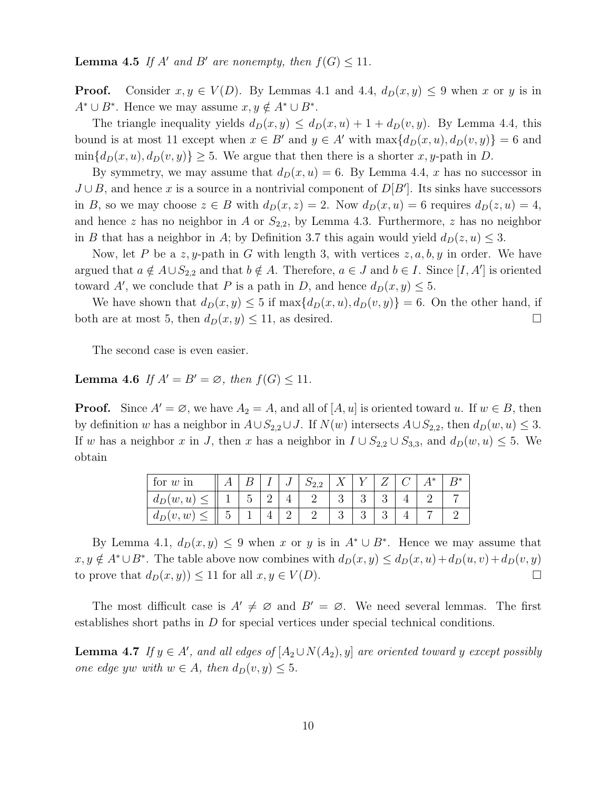**Lemma 4.5** If A' and B' are nonempty, then  $f(G) \leq 11$ .

**Proof.** Consider  $x, y \in V(D)$ . By Lemmas 4.1 and 4.4,  $d_D(x, y) \leq 9$  when x or y is in  $A^* \cup B^*$ . Hence we may assume  $x, y \notin A^* \cup B^*$ .

The triangle inequality yields  $d_D(x, y) \leq d_D(x, u) + 1 + d_D(v, y)$ . By Lemma 4.4, this bound is at most 11 except when  $x \in B'$  and  $y \in A'$  with  $\max\{d_D(x, u), d_D(v, y)\} = 6$  and  $\min\{d_D(x, u), d_D(v, y)\}\geq 5$ . We argue that then there is a shorter x, y-path in D.

By symmetry, we may assume that  $d_D(x, u) = 6$ . By Lemma 4.4, x has no successor in  $J \cup B$ , and hence x is a source in a nontrivial component of  $D[B']$ . Its sinks have successors in B, so we may choose  $z \in B$  with  $d_D(x, z) = 2$ . Now  $d_D(x, u) = 6$  requires  $d_D(z, u) = 4$ , and hence z has no neighbor in A or  $S_{2,2}$ , by Lemma 4.3. Furthermore, z has no neighbor in B that has a neighbor in A; by Definition 3.7 this again would yield  $d_D(z, u) \leq 3$ .

Now, let P be a z, y-path in G with length 3, with vertices  $z, a, b, y$  in order. We have argued that  $a \notin A \cup S_{2,2}$  and that  $b \notin A$ . Therefore,  $a \in J$  and  $b \in I$ . Since  $[I, A']$  is oriented toward A', we conclude that P is a path in D, and hence  $d_D(x, y) \leq 5$ .

We have shown that  $d_D(x, y) \leq 5$  if  $\max\{d_D(x, u), d_D(v, y)\} = 6$ . On the other hand, if both are at most 5, then  $d_D(x, y) \le 11$ , as desired.

The second case is even easier.

**Lemma 4.6** If  $A' = B' = \emptyset$ , then  $f(G) \le 11$ .

**Proof.** Since  $A' = \emptyset$ , we have  $A_2 = A$ , and all of  $[A, u]$  is oriented toward u. If  $w \in B$ , then by definition w has a neighbor in  $A\cup S_{2,2}\cup J$ . If  $N(w)$  intersects  $A\cup S_{2,2}$ , then  $d_D(w, u) \leq 3$ . If w has a neighbor x in J, then x has a neighbor in  $I \cup S_{2,2} \cup S_{3,3}$ , and  $d_D(w, u) \leq 5$ . We obtain

| for $w \nvert$ in |   | ┻ | ಀ | $D_{2,2}$ |   |   | 1* | $\Gamma$ |
|-------------------|---|---|---|-----------|---|---|----|----------|
| $d_D(w, u)$       |   | ↵ |   |           |   | ບ |    |          |
| $d_D(v, w)$       | ◡ |   | ≃ |           | ◡ | ಲ |    |          |

By Lemma 4.1,  $d_D(x,y) \leq 9$  when x or y is in  $A^* \cup B^*$ . Hence we may assume that  $x, y \notin A^* \cup B^*$ . The table above now combines with  $d_D(x, y) \leq d_D(x, u) + d_D(u, v) + d_D(v, y)$ to prove that  $d_D(x, y) \le 11$  for all  $x, y \in V(D)$ .

The most difficult case is  $A' \neq \emptyset$  and  $B' = \emptyset$ . We need several lemmas. The first establishes short paths in D for special vertices under special technical conditions.

**Lemma 4.7** If  $y \in A'$ , and all edges of  $[A_2 \cup N(A_2), y]$  are oriented toward y except possibly one edge yw with  $w \in A$ , then  $d_D(v, y) \leq 5$ .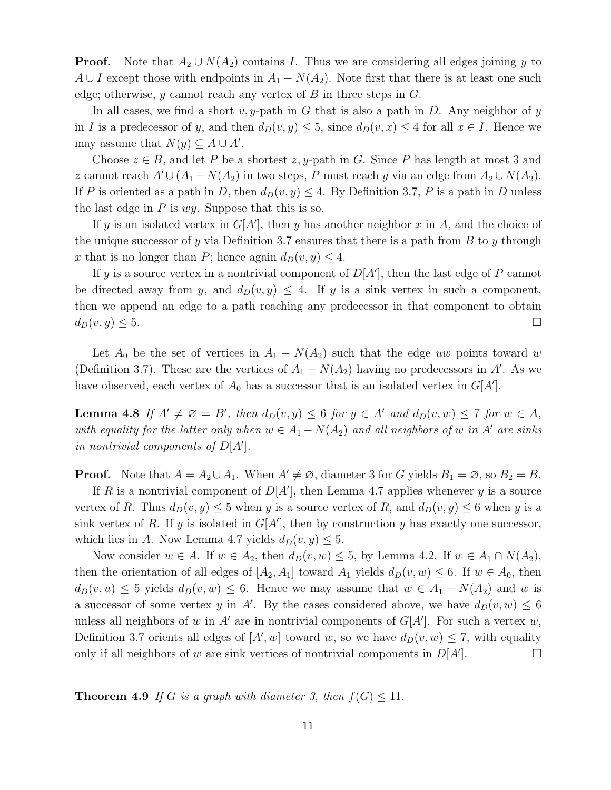**Proof.** Note that  $A_2 \cup N(A_2)$  contains I. Thus we are considering all edges joining y to A ∪ I except those with endpoints in  $A_1 - N(A_2)$ . Note first that there is at least one such edge; otherwise, y cannot reach any vertex of B in three steps in  $G$ .

In all cases, we find a short v, y-path in G that is also a path in D. Any neighbor of y in I is a predecessor of y, and then  $d_D(v, y) \leq 5$ , since  $d_D(v, x) \leq 4$  for all  $x \in I$ . Hence we may assume that  $N(y) \subseteq A \cup A'$ .

Choose  $z \in B$ , and let P be a shortest  $z, y$ -path in G. Since P has length at most 3 and z cannot reach  $A' \cup (A_1 - N(A_2))$  in two steps, P must reach y via an edge from  $A_2 \cup N(A_2)$ . If P is oriented as a path in D, then  $d_D(v, y) \leq 4$ . By Definition 3.7, P is a path in D unless the last edge in  $P$  is  $wy$ . Suppose that this is so.

If y is an isolated vertex in  $G[A']$ , then y has another neighbor x in A, and the choice of the unique successor of y via Definition 3.7 ensures that there is a path from  $B$  to  $y$  through x that is no longer than P; hence again  $d_D(v, y) \leq 4$ .

If y is a source vertex in a nontrivial component of  $D[A']$ , then the last edge of P cannot be directed away from y, and  $d_D(v, y) \leq 4$ . If y is a sink vertex in such a component, then we append an edge to a path reaching any predecessor in that component to obtain  $d_D(v, y) \leq 5.$ 

Let  $A_0$  be the set of vertices in  $A_1 - N(A_2)$  such that the edge uw points toward w (Definition 3.7). These are the vertices of  $A_1 - N(A_2)$  having no predecessors in A'. As we have observed, each vertex of  $A_0$  has a successor that is an isolated vertex in  $G[A']$ .

**Lemma 4.8** If  $A' \neq \emptyset = B'$ , then  $d_D(v, y) \leq 6$  for  $y \in A'$  and  $d_D(v, w) \leq 7$  for  $w \in A$ , with equality for the latter only when  $w \in A_1 - N(A_2)$  and all neighbors of w in A' are sinks in nontrivial components of  $D[A']$ .

**Proof.** Note that  $A = A_2 \cup A_1$ . When  $A' \neq \emptyset$ , diameter 3 for G yields  $B_1 = \emptyset$ , so  $B_2 = B$ .

If R is a nontrivial component of  $D[A']$ , then Lemma 4.7 applies whenever y is a source vertex of R. Thus  $d_D(v, y) \leq 5$  when y is a source vertex of R, and  $d_D(v, y) \leq 6$  when y is a sink vertex of R. If y is isolated in  $G[A']$ , then by construction y has exactly one successor, which lies in A. Now Lemma 4.7 yields  $d_D(v, y) \leq 5$ .

Now consider  $w \in A$ . If  $w \in A_2$ , then  $d_D(v, w) \leq 5$ , by Lemma 4.2. If  $w \in A_1 \cap N(A_2)$ , then the orientation of all edges of  $[A_2, A_1]$  toward  $A_1$  yields  $d_D(v, w) \leq 6$ . If  $w \in A_0$ , then  $d_D(v, u) \leq 5$  yields  $d_D(v, w) \leq 6$ . Hence we may assume that  $w \in A_1 - N(A_2)$  and w is a successor of some vertex y in A'. By the cases considered above, we have  $d_D(v, w) \leq 6$ unless all neighbors of w in A' are in nontrivial components of  $G[A']$ . For such a vertex w, Definition 3.7 orients all edges of  $[A', w]$  toward w, so we have  $d_D(v, w) \leq 7$ , with equality only if all neighbors of w are sink vertices of nontrivial components in  $D[A']$ .  $\Box$ 

**Theorem 4.9** If G is a graph with diameter 3, then  $f(G) \leq 11$ .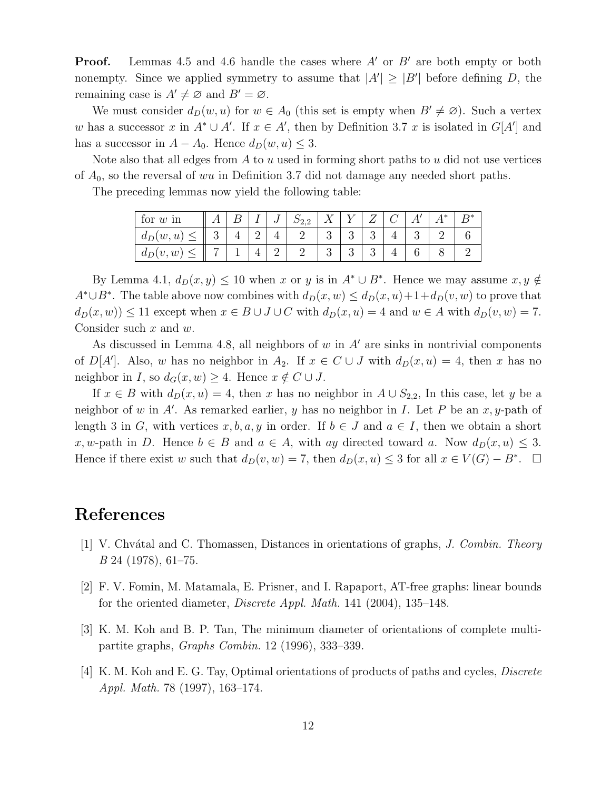**Proof.** Lemmas 4.5 and 4.6 handle the cases where  $A'$  or  $B'$  are both empty or both nonempty. Since we applied symmetry to assume that  $|A'| \geq |B'|$  before defining D, the remaining case is  $A' \neq \emptyset$  and  $B' = \emptyset$ .

We must consider  $d_D(w, u)$  for  $w \in A_0$  (this set is empty when  $B' \neq \emptyset$ ). Such a vertex w has a successor x in  $A^* \cup A'$ . If  $x \in A'$ , then by Definition 3.7 x is isolated in  $G[A']$  and has a successor in  $A - A_0$ . Hence  $d_D(w, u) \leq 3$ .

Note also that all edges from  $A$  to  $u$  used in forming short paths to  $u$  did not use vertices of  $A_0$ , so the reversal of wu in Definition 3.7 did not damage any needed short paths.

The preceding lemmas now yield the following table:

| for $w \nvert$ in |   |   | ┻ | ಀ | D22<br>4.4 |   |   |   |  | $\ast$ | $D*$ |
|-------------------|---|---|---|---|------------|---|---|---|--|--------|------|
| $d_D(w, u)$       | ◡ | ± |   |   |            |   | ບ | ບ |  |        |      |
| $d_D(v, w)$       |   |   |   |   |            | ◡ | ಲ | ບ |  |        |      |

By Lemma 4.1,  $d_D(x, y) \leq 10$  when x or y is in  $A^* \cup B^*$ . Hence we may assume  $x, y \notin$  $A^* \cup B^*$ . The table above now combines with  $d_D(x, w) \leq d_D(x, u) + 1 + d_D(v, w)$  to prove that  $d_D(x, w) \le 11$  except when  $x \in B \cup J \cup C$  with  $d_D(x, u) = 4$  and  $w \in A$  with  $d_D(v, w) = 7$ . Consider such  $x$  and  $w$ .

As discussed in Lemma 4.8, all neighbors of  $w$  in  $A'$  are sinks in nontrivial components of  $D[A']$ . Also, w has no neighbor in  $A_2$ . If  $x \in C \cup J$  with  $d_D(x, u) = 4$ , then x has no neighbor in I, so  $d_G(x, w) \geq 4$ . Hence  $x \notin C \cup J$ .

If  $x \in B$  with  $d_D(x, u) = 4$ , then x has no neighbor in  $A \cup S_{2,2}$ , In this case, let y be a neighbor of w in A'. As remarked earlier, y has no neighbor in I. Let P be an  $x, y$ -path of length 3 in G, with vertices x, b, a, y in order. If  $b \in J$  and  $a \in I$ , then we obtain a short x, w-path in D. Hence  $b \in B$  and  $a \in A$ , with ay directed toward a. Now  $d_D(x, u) \leq 3$ . Hence if there exist w such that  $d_D(v, w) = 7$ , then  $d_D(x, u) \leq 3$  for all  $x \in V(G) - B^*$ .  $\Box$ 

## References

- [1] V. Chvátal and C. Thomassen, Distances in orientations of graphs, J. Combin. Theory B 24 (1978), 61–75.
- [2] F. V. Fomin, M. Matamala, E. Prisner, and I. Rapaport, AT-free graphs: linear bounds for the oriented diameter, Discrete Appl. Math. 141 (2004), 135–148.
- [3] K. M. Koh and B. P. Tan, The minimum diameter of orientations of complete multipartite graphs, Graphs Combin. 12 (1996), 333–339.
- [4] K. M. Koh and E. G. Tay, Optimal orientations of products of paths and cycles, Discrete Appl. Math. 78 (1997), 163–174.